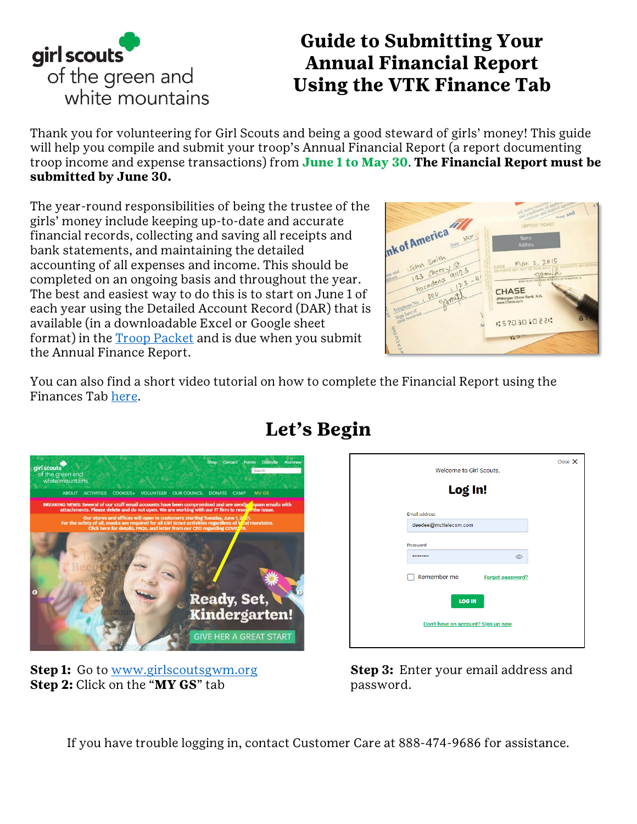

## **Guide to Submitting Your Annual Financial Report Using the VTK Finance Tab**

Thank you for volunteering for Girl Scouts and being a good steward of girls' money! This guide will help you compile and submit your troop's Annual Financial Report (a report documenting troop income and expense transactions) from **June 1 to May 30**. **The Financial Report must be submitted by June 30.**

The year-round responsibilities of being the trustee of the girls' money include keeping up-to-date and accurate financial records, collecting and saving all receipts and bank statements, and maintaining the detailed accounting of all expenses and income. This should be completed on an ongoing basis and throughout the year. The best and easiest way to do this is to start on June 1 of each year using the Detailed Account Record (DAR) that is available (in a downloadable Excel or Google sheet format) in the **[Troop Packet](https://www.girlscoutsgwm.org/en/for-volunteers/troop-packet.html)** and is due when you submit the Annual Finance Report.



You can also find a short video tutorial on how to complete the Financial Report using the Finances Tab [here.](https://youtu.be/PT16PxadWgk)



## **Step 1:** Go to [www.girlscoutsgwm.org](http://www.girlscoutsgwm.org/) **Step 3:** Enter your email address and **Step 2:** Click on the "**MY GS**" tabpassword.

| Welcome to Girl Scouts,<br>Log In!                  |                         | Close $\times$ |
|-----------------------------------------------------|-------------------------|----------------|
| <b>Email address</b><br>deedee@mcttelecom.com       |                         |                |
| Password<br>                                        | $\circledcirc$          |                |
| Remember me                                         | <b>Forgot password?</b> |                |
| <b>LOG IN</b><br>Don't have an account? Sign up now |                         |                |

If you have trouble logging in, contact Customer Care at 888-474-9686 for assistance.

## **Let's Begin**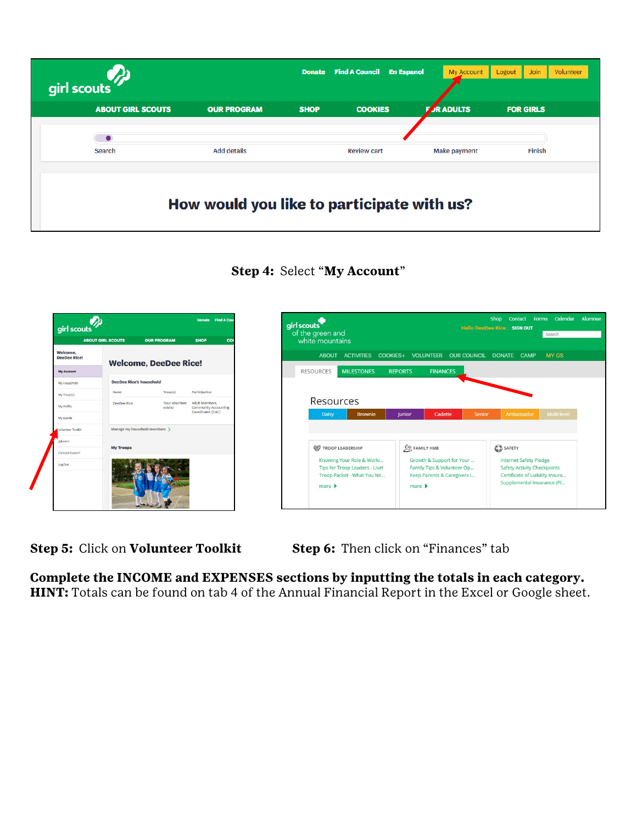| girl scouts              |                                            | <b>Donate</b> | <b>Find A Council</b><br><b>En Espanol</b> | My Account     | Join<br>Volunteer<br>Logout |
|--------------------------|--------------------------------------------|---------------|--------------------------------------------|----------------|-----------------------------|
| <b>ABOUT GIRL SCOUTS</b> | <b>OUR PROGRAM</b>                         | <b>SHOP</b>   | <b>COOKIES</b>                             | <b>RADULTS</b> | <b>FOR GIRLS</b>            |
| Search                   | <b>Add details</b>                         |               | <b>Review cart</b>                         | Make payment   | Finish                      |
|                          |                                            |               |                                            |                |                             |
|                          | How would you like to participate with us? |               |                                            |                |                             |





**Step 5:** Click on **Volunteer Toolkit Step 6:** Then click on "Finances" tab

Shop Contact

SAFETY

**Internet Safety Pledge** 

Safety Activity Checkpoints

Certificate of Liability Insura... Supplemental Insurance (Pl...

Hello DeeDee Rice . SIGN OUT

Forms Calendar Alumna

Search

**Complete the INCOME and EXPENSES sections by inputting the totals in each category. HINT:** Totals can be found on tab 4 of the Annual Financial Report in the Excel or Google sheet.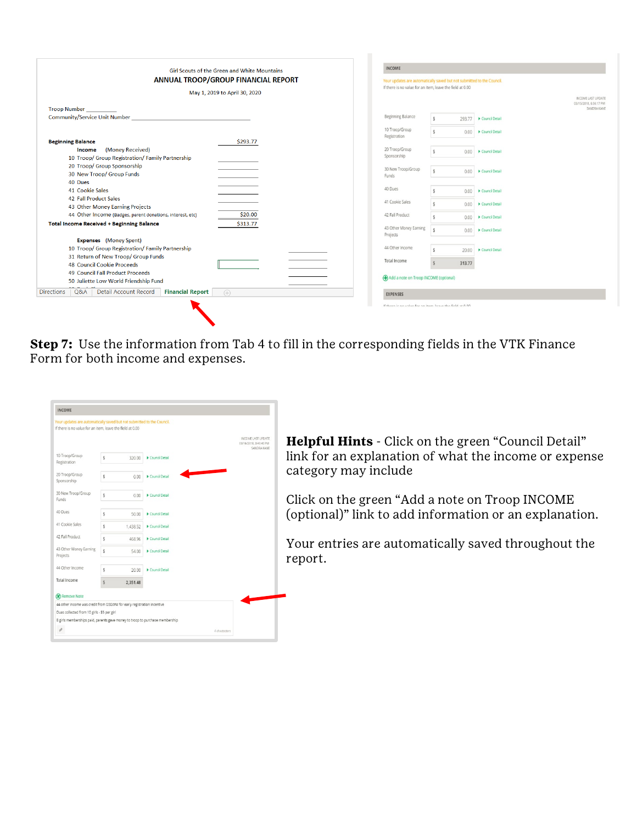| Girl Scouts of the Green and White Mountains<br>ANNUAL TROOP/GROUP FINANCIAL REPORT  | INCOME<br>If there is no value for an item, leave the field at 0.00 | Your updates are automatically saved but not submitted to the Council. |                         |                                       |
|--------------------------------------------------------------------------------------|---------------------------------------------------------------------|------------------------------------------------------------------------|-------------------------|---------------------------------------|
| May 1, 2019 to April 30, 2020                                                        |                                                                     |                                                                        |                         | INCOME LAST UPDATE                    |
| <b>Troop Number</b>                                                                  |                                                                     |                                                                        |                         | 03/15/2018, 6:56:17 PM<br>SANDRA KANE |
| <b>Community/Service Unit Number</b>                                                 | <b>Beginning Balance</b>                                            |                                                                        |                         |                                       |
|                                                                                      |                                                                     | $\mathbf{C}$                                                           | 293.77 > Council Detail |                                       |
|                                                                                      | 10 Troop/Group                                                      | $\epsilon$                                                             | 0.00 > Council Detail   |                                       |
| <b>Beginning Balance</b><br>\$293.77                                                 | Registration                                                        |                                                                        |                         |                                       |
| (Money Received)<br>Income                                                           | 20 Troop/Group                                                      |                                                                        |                         |                                       |
| 10 Troop/ Group Registration/ Family Partnership                                     | Sponsorship                                                         | $\mathsf{s}$                                                           | 0.00 > Council Detail   |                                       |
| 20 Troop/ Group Sponsorship                                                          |                                                                     |                                                                        |                         |                                       |
| 30 New Troop/ Group Funds                                                            | 30 New Troop/Group                                                  | $\mathsf{s}$                                                           | 0.00 > Council Detail   |                                       |
| 40 Dues                                                                              | Funds                                                               |                                                                        |                         |                                       |
| 41 Cookie Sales                                                                      | 40 Dues                                                             |                                                                        | 0.00 > Council Detail   |                                       |
| 42 Fall Product Sales                                                                |                                                                     |                                                                        |                         |                                       |
| 43 Other Money Earning Projects                                                      | 41 Cookie Sales                                                     |                                                                        | 0.00 Council Detail     |                                       |
| 44 Other Income (Badges, parent donations, interest, etc)<br>\$20.00                 | 42 Fall Product                                                     |                                                                        | 0.00 > Council Detail   |                                       |
| <b>Total Income Received + Beginning Balance</b><br>\$313.77                         |                                                                     |                                                                        |                         |                                       |
|                                                                                      | 43 Other Money Earning<br>Projects                                  |                                                                        | 0.00 Council Detail     |                                       |
| <b>Expenses</b> (Money Spent)                                                        |                                                                     |                                                                        |                         |                                       |
| 10 Troop/ Group Registration/ Family Partnership                                     | 44 Other Income                                                     | $\epsilon$                                                             | 20.00 Council Detail    |                                       |
| 31 Return of New Troop/ Group Funds                                                  | <b>Total Income</b>                                                 |                                                                        |                         |                                       |
| 48 Council Cookie Proceeds                                                           |                                                                     | 313.77                                                                 |                         |                                       |
| 49 Council Fall Product Proceeds                                                     | Add a note on Troop INCOME (optional)                               |                                                                        |                         |                                       |
| 50 Juliette Low World Friendship Fund                                                |                                                                     |                                                                        |                         |                                       |
| Q&A   Detail Account Record<br><b>Financial Report</b><br><b>Directions</b><br>$(+)$ | <b>EXPENSES</b>                                                     |                                                                        |                         |                                       |
|                                                                                      | If there is no value for an item leave the field at 0.00.           |                                                                        |                         |                                       |

**Step 7:** Use the information from Tab 4 to fill in the corresponding fields in the VTK Finance Form for both income and expenses.

| 320.00<br>0.00<br>0.00<br>50.00 | INCOME LAST UPDATE<br>03/16/2018 3:40:40 PM<br>SANDRA KANE<br>Council Detail<br>Council Detail<br>Council Detail<br>Council Detail |                                                                                                                                                        |
|---------------------------------|------------------------------------------------------------------------------------------------------------------------------------|--------------------------------------------------------------------------------------------------------------------------------------------------------|
|                                 |                                                                                                                                    |                                                                                                                                                        |
|                                 |                                                                                                                                    |                                                                                                                                                        |
|                                 |                                                                                                                                    |                                                                                                                                                        |
|                                 |                                                                                                                                    |                                                                                                                                                        |
|                                 |                                                                                                                                    |                                                                                                                                                        |
| 1.438.52                        | Council Detail                                                                                                                     |                                                                                                                                                        |
| 468.96                          | Council Detail                                                                                                                     |                                                                                                                                                        |
| 54.00                           | Council Detail                                                                                                                     |                                                                                                                                                        |
| 20.00                           | Council Detail                                                                                                                     |                                                                                                                                                        |
| 2,351.48                        |                                                                                                                                    |                                                                                                                                                        |
|                                 |                                                                                                                                    |                                                                                                                                                        |
|                                 |                                                                                                                                    |                                                                                                                                                        |
|                                 | Dues collected from 10 girls - \$5 per girl                                                                                        | 44 other income was credit from GSGWM for early registration incentive<br>8 girls memberships paid, parents gave money to troop to purchase membership |

**Helpful Hints** - Click on the green "Council Detail" link for an explanation of what the income or expense category may include

Click on the green "Add a note on Troop INCOME (optional)" link to add information or an explanation.

Your entries are automatically saved throughout the report.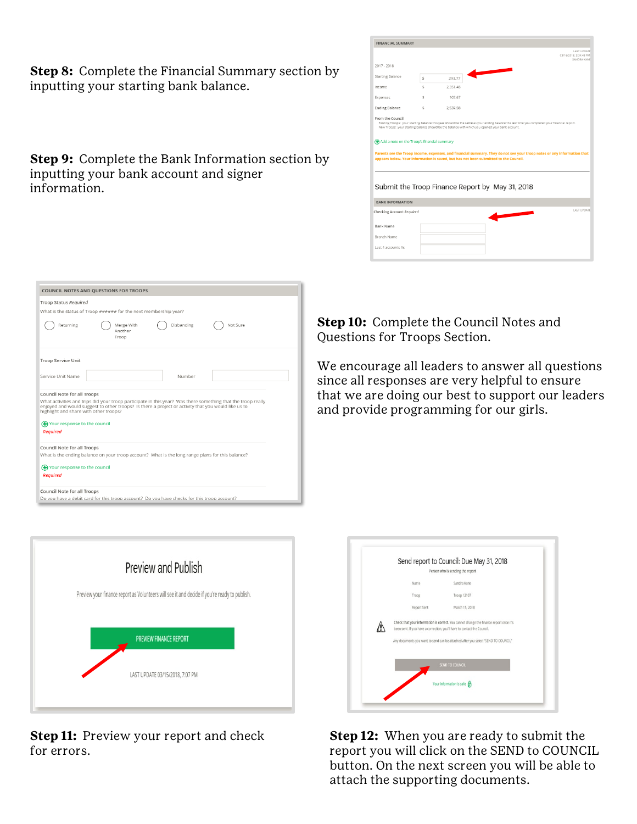**Step 8:** Complete the Financial Summary section by inputting your starting bank balance.

**Step 9:** Complete the Bank Information section by inputting your bank account and signer information.

| <b>FINANCIAL SUMMARY</b>                                                                         |        |          |                                                                                                                                                                                                                                                                    |                                                            |
|--------------------------------------------------------------------------------------------------|--------|----------|--------------------------------------------------------------------------------------------------------------------------------------------------------------------------------------------------------------------------------------------------------------------|------------------------------------------------------------|
|                                                                                                  |        |          |                                                                                                                                                                                                                                                                    | <b>LAST UPDATE</b><br>03/16/2018 3:34:48 PM<br>SANDRA KANE |
| $2017 - 2018$                                                                                    |        |          |                                                                                                                                                                                                                                                                    |                                                            |
| <b>Starting Balance</b>                                                                          | Š.     | 293.77   |                                                                                                                                                                                                                                                                    |                                                            |
| Income                                                                                           | ¢      | 2,351.48 |                                                                                                                                                                                                                                                                    |                                                            |
| Expenses                                                                                         | $\leq$ | 107.67   |                                                                                                                                                                                                                                                                    |                                                            |
| <b>Ending Balance</b>                                                                            | Š.     | 2537.58  |                                                                                                                                                                                                                                                                    |                                                            |
| New Troops: your starting balance should be the balance with which you opened your bank account. |        |          |                                                                                                                                                                                                                                                                    |                                                            |
| Add a note on the Troop's financial summary                                                      |        |          | Parents see the Troop income, expenses, and financial summary. They do not see your troop notes or any information that<br>appears below. Your information is saved, but has not been submitted to the Council.<br>Submit the Troop Finance Report by May 31, 2018 |                                                            |
| <b>BANK INFORMATION</b>                                                                          |        |          |                                                                                                                                                                                                                                                                    |                                                            |
|                                                                                                  |        |          |                                                                                                                                                                                                                                                                    |                                                            |
|                                                                                                  |        |          |                                                                                                                                                                                                                                                                    |                                                            |
| Checking Account Required<br>Bank Name<br>Branch Name                                            |        |          |                                                                                                                                                                                                                                                                    | LAST LIPDATE                                               |

| COUNCIL NOTES AND QUESTIONS FOR TROOPS              |                                                                                                                                                                                                                     |  |
|-----------------------------------------------------|---------------------------------------------------------------------------------------------------------------------------------------------------------------------------------------------------------------------|--|
| Troop Status Required                               |                                                                                                                                                                                                                     |  |
|                                                     | What is the status of Troop ###### for the next membership year?                                                                                                                                                    |  |
| Returning                                           | Merge With<br>Disbanding<br>Not Sure<br>Another<br>Troop                                                                                                                                                            |  |
| Troop Service Unit                                  |                                                                                                                                                                                                                     |  |
| Service Unit Name                                   | Number                                                                                                                                                                                                              |  |
| Council Note for all Troops                         |                                                                                                                                                                                                                     |  |
| highlight and share with other troops?              | What activities and trips did your troop participate in this year? Was there something that the troop really<br>enjoyed and would suggest to other troops? Is there a project or activity that you would like us to |  |
| (+) Your response to the council<br><b>Required</b> |                                                                                                                                                                                                                     |  |
| Council Note for all Troops                         |                                                                                                                                                                                                                     |  |
|                                                     | What is the ending balance on your troop account? What is the long range plans for this balance?                                                                                                                    |  |
| (+) Your response to the council<br><b>Required</b> |                                                                                                                                                                                                                     |  |
| Council Note for all Troops                         |                                                                                                                                                                                                                     |  |
|                                                     | Do you have a debit card for this troop account? Do you have checks for this troop account?                                                                                                                         |  |

**Step 10:** Complete the Council Notes and Questions for Troops Section.

We encourage all leaders to answer all questions since all responses are very helpful to ensure that we are doing our best to support our leaders and provide programming for our girls.





**Step 11:** Preview your report and check **Step 12:** When you are ready to submit the for errors. The report you will click on the SEND to COUNCIL button. On the next screen you will be able to attach the supporting documents.